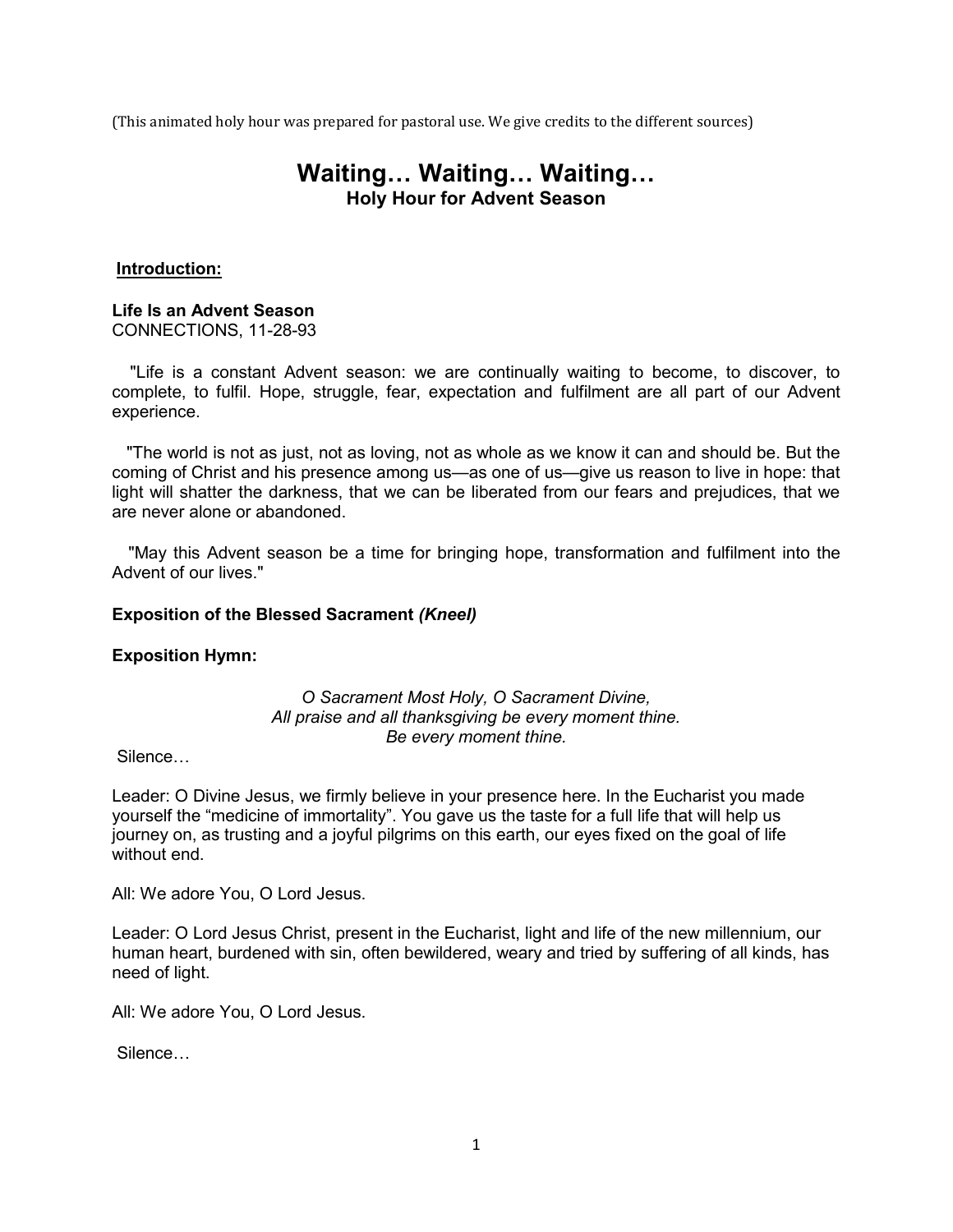(This animated holy hour was prepared for pastoral use. We give credits to the different sources)

# **Waiting… Waiting… Waiting… Holy Hour for Advent Season**

### **Introduction:**

# **Life Is an Advent Season**

CONNECTIONS, 11-28-93

 "Life is a constant Advent season: we are continually waiting to become, to discover, to complete, to fulfil. Hope, struggle, fear, expectation and fulfilment are all part of our Advent experience.

 "The world is not as just, not as loving, not as whole as we know it can and should be. But the coming of Christ and his presence among us—as one of us—give us reason to live in hope: that light will shatter the darkness, that we can be liberated from our fears and prejudices, that we are never alone or abandoned.

 "May this Advent season be a time for bringing hope, transformation and fulfilment into the Advent of our lives."

### **Exposition of the Blessed Sacrament** *(Kneel)*

### **Exposition Hymn:**

*O Sacrament Most Holy, O Sacrament Divine, All praise and all thanksgiving be every moment thine. Be every moment thine.* 

Silence…

Leader: O Divine Jesus, we firmly believe in your presence here. In the Eucharist you made yourself the "medicine of immortality". You gave us the taste for a full life that will help us journey on, as trusting and a joyful pilgrims on this earth, our eyes fixed on the goal of life without end.

All: We adore You, O Lord Jesus.

Leader: O Lord Jesus Christ, present in the Eucharist, light and life of the new millennium, our human heart, burdened with sin, often bewildered, weary and tried by suffering of all kinds, has need of light.

All: We adore You, O Lord Jesus.

Silence…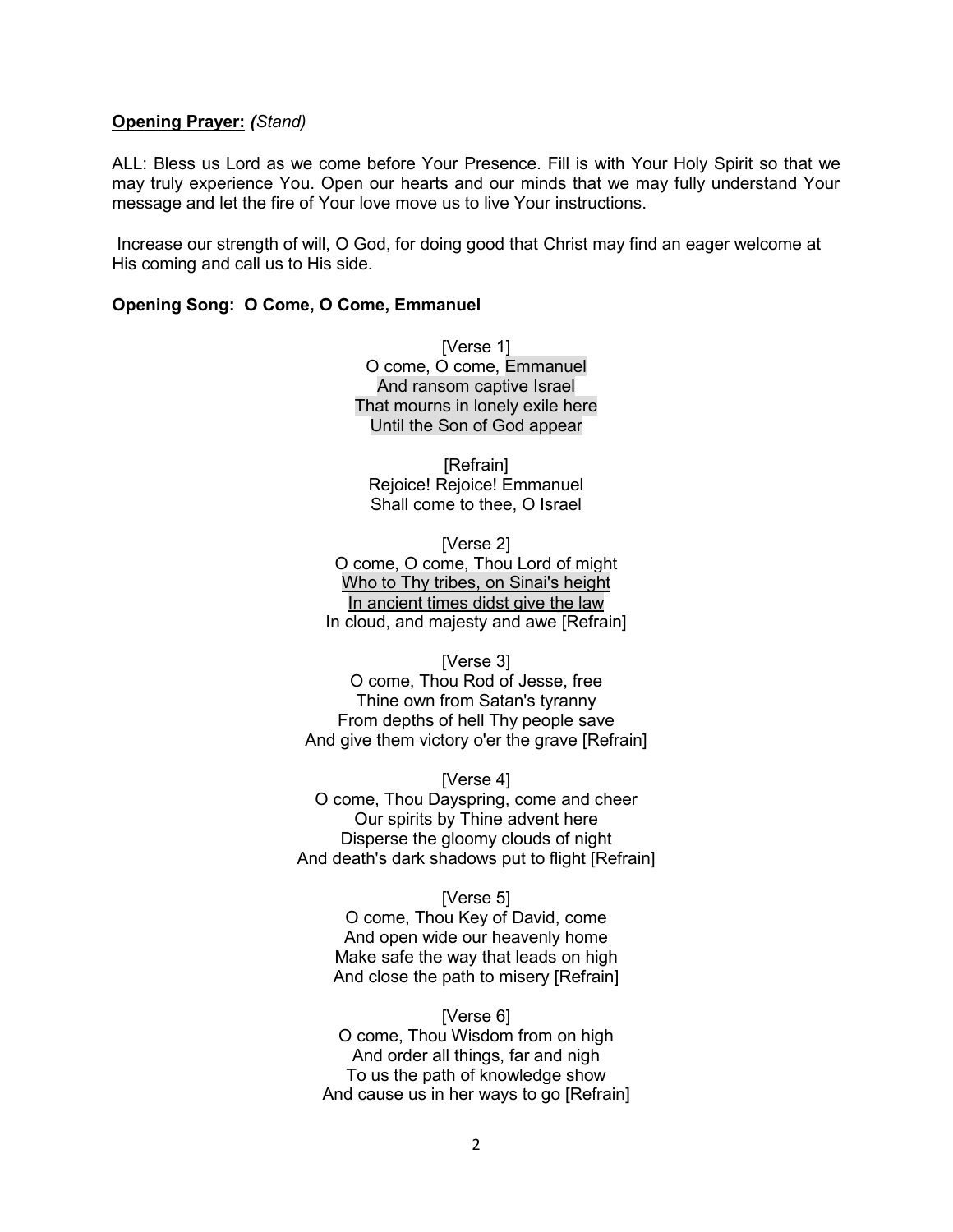#### **Opening Prayer:** *(Stand)*

ALL: Bless us Lord as we come before Your Presence. Fill is with Your Holy Spirit so that we may truly experience You. Open our hearts and our minds that we may fully understand Your message and let the fire of Your love move us to live Your instructions.

 Increase our strength of will, O God, for doing good that Christ may find an eager welcome at His coming and call us to His side.

#### **Opening Song: O Come, O Come, Emmanuel**

[Verse 1] O come, O come, [Emmanuel](https://genius.com/Traditional-o-come-o-come-emmanuel-lyrics#note-11085355)  [And ransom captive Israel](https://genius.com/Traditional-o-come-o-come-emmanuel-lyrics#note-11085392)  [That mourns in lonely exile here](https://genius.com/Traditional-o-come-o-come-emmanuel-lyrics#note-11085392)  [Until the Son of God appear](https://genius.com/Traditional-o-come-o-come-emmanuel-lyrics#note-11086079) 

[Refrain] Rejoice! Rejoice! Emmanuel Shall come to thee, O Israel

[Verse 2] O come, O come, Thou Lord of might [Who to Thy tribes, on Sinai's height](https://genius.com/Traditional-o-come-o-come-emmanuel-lyrics#note-11086197)  [In ancient times didst give the law](https://genius.com/Traditional-o-come-o-come-emmanuel-lyrics#note-11086197)  In cloud, and majesty and awe [Refrain]

[Verse 3] O come, Thou Rod of Jesse, free Thine own from Satan's tyranny From depths of hell Thy people save And give them victory o'er the grave [Refrain]

[Verse 4] O come, Thou Dayspring, come and cheer Our spirits by Thine advent here Disperse the gloomy clouds of night And death's dark shadows put to flight [Refrain]

> [Verse 5] O come, Thou Key of David, come And open wide our heavenly home Make safe the way that leads on high And close the path to misery [Refrain]

[Verse 6] O come, Thou Wisdom from on high And order all things, far and nigh To us the path of knowledge show And cause us in her ways to go [Refrain]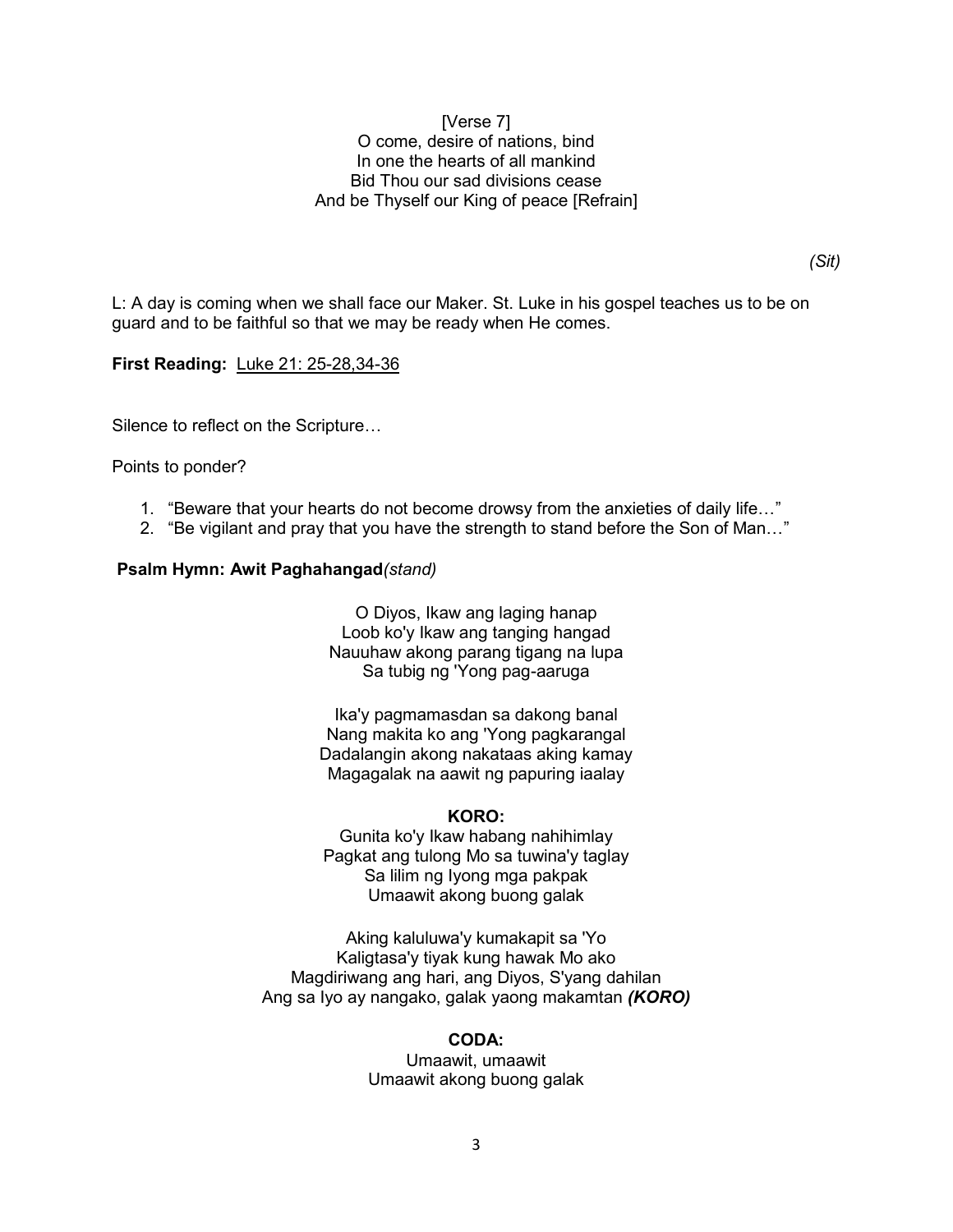### [Verse 7] O come, desire of nations, bind In one the hearts of all mankind Bid Thou our sad divisions cease And be Thyself our King of peace [Refrain]

L: A day is coming when we shall face our Maker. St. Luke in his gospel teaches us to be on guard and to be faithful so that we may be ready when He comes.

### **First Reading:** [Luke](http://www.usccb.org/nab/bible/isaiah/isaiah63.htm) 21: 25-28,34-36

Silence to reflect on the Scripture…

Points to ponder?

- 1. "Beware that your hearts do not become drowsy from the anxieties of daily life…"
- 2. "Be vigilant and pray that you have the strength to stand before the Son of Man…"

#### **Psalm Hymn: Awit Paghahangad***(stand)*

O Diyos, Ikaw ang laging hanap Loob ko'y Ikaw ang tanging hangad Nauuhaw akong parang tigang na lupa Sa tubig ng 'Yong pag-aaruga

Ika'y pagmamasdan sa dakong banal Nang makita ko ang 'Yong pagkarangal Dadalangin akong nakataas aking kamay Magagalak na aawit ng papuring iaalay

#### **KORO:**

Gunita ko'y Ikaw habang nahihimlay Pagkat ang tulong Mo sa tuwina'y taglay Sa lilim ng Iyong mga pakpak Umaawit akong buong galak

Aking kaluluwa'y kumakapit sa 'Yo Kaligtasa'y tiyak kung hawak Mo ako Magdiriwang ang hari, ang Diyos, S'yang dahilan Ang sa Iyo ay nangako, galak yaong makamtan *(KORO)*

#### **CODA:**

Umaawit, umaawit Umaawit akong buong galak  *(Sit)*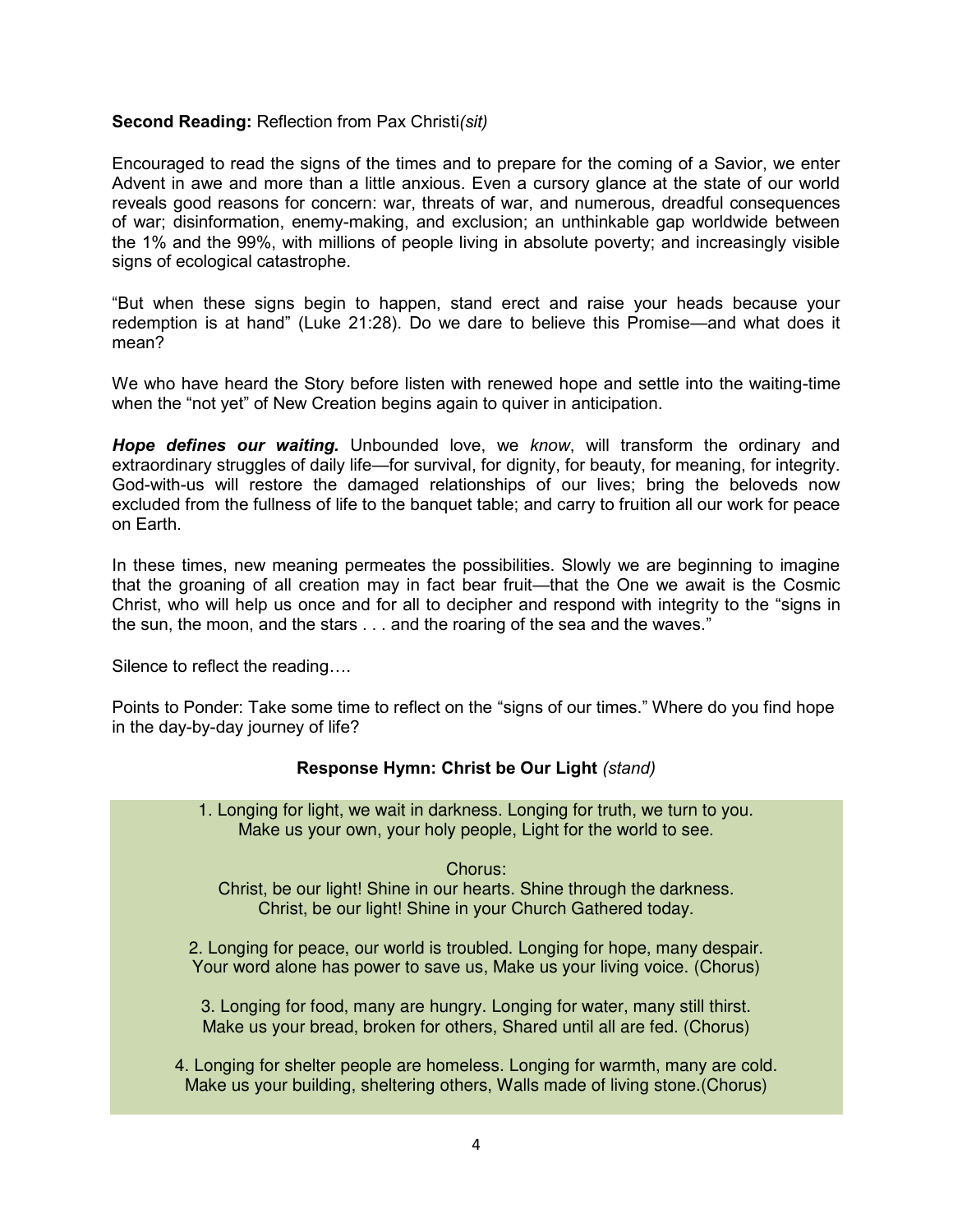# **Second Reading:** Reflection from Pax Christi*(sit)*

Encouraged to read the signs of the times and to prepare for the coming of a Savior, we enter Advent in awe and more than a little anxious. Even a cursory glance at the state of our world reveals good reasons for concern: war, threats of war, and numerous, dreadful consequences of war; disinformation, enemy-making, and exclusion; an unthinkable gap worldwide between the 1% and the 99%, with millions of people living in absolute poverty; and increasingly visible signs of ecological catastrophe.

"But when these signs begin to happen, stand erect and raise your heads because your redemption is at hand" (Luke 21:28). Do we dare to believe this Promise—and what does it mean?

We who have heard the Story before listen with renewed hope and settle into the waiting-time when the "not yet" of New Creation begins again to quiver in anticipation.

*Hope defines our waiting.* Unbounded love, we *know*, will transform the ordinary and extraordinary struggles of daily life—for survival, for dignity, for beauty, for meaning, for integrity. God-with-us will restore the damaged relationships of our lives; bring the beloveds now excluded from the fullness of life to the banquet table; and carry to fruition all our work for peace on Earth.

In these times, new meaning permeates the possibilities. Slowly we are beginning to imagine that the groaning of all creation may in fact bear fruit—that the One we await is the Cosmic Christ, who will help us once and for all to decipher and respond with integrity to the "signs in the sun, the moon, and the stars . . . and the roaring of the sea and the waves."

Silence to reflect the reading....

Points to Ponder: Take some time to reflect on the "signs of our times." Where do you find hope in the day-by-day journey of life?

# **Response Hymn: Christ be Our Light** *(stand)*

1. Longing for light, we wait in darkness. Longing for truth, we turn to you. Make us your own, your holy people, Light for the world to see.

Chorus:

Christ, be our light! Shine in our hearts. Shine through the darkness. Christ, be our light! Shine in your Church Gathered today.

2. Longing for peace, our world is troubled. Longing for hope, many despair. Your word alone has power to save us, Make us your living voice. (Chorus)

3. Longing for food, many are hungry. Longing for water, many still thirst. Make us your bread, broken for others, Shared until all are fed. (Chorus)

4. Longing for shelter people are homeless. Longing for warmth, many are cold. Make us your building, sheltering others, Walls made of living stone.(Chorus)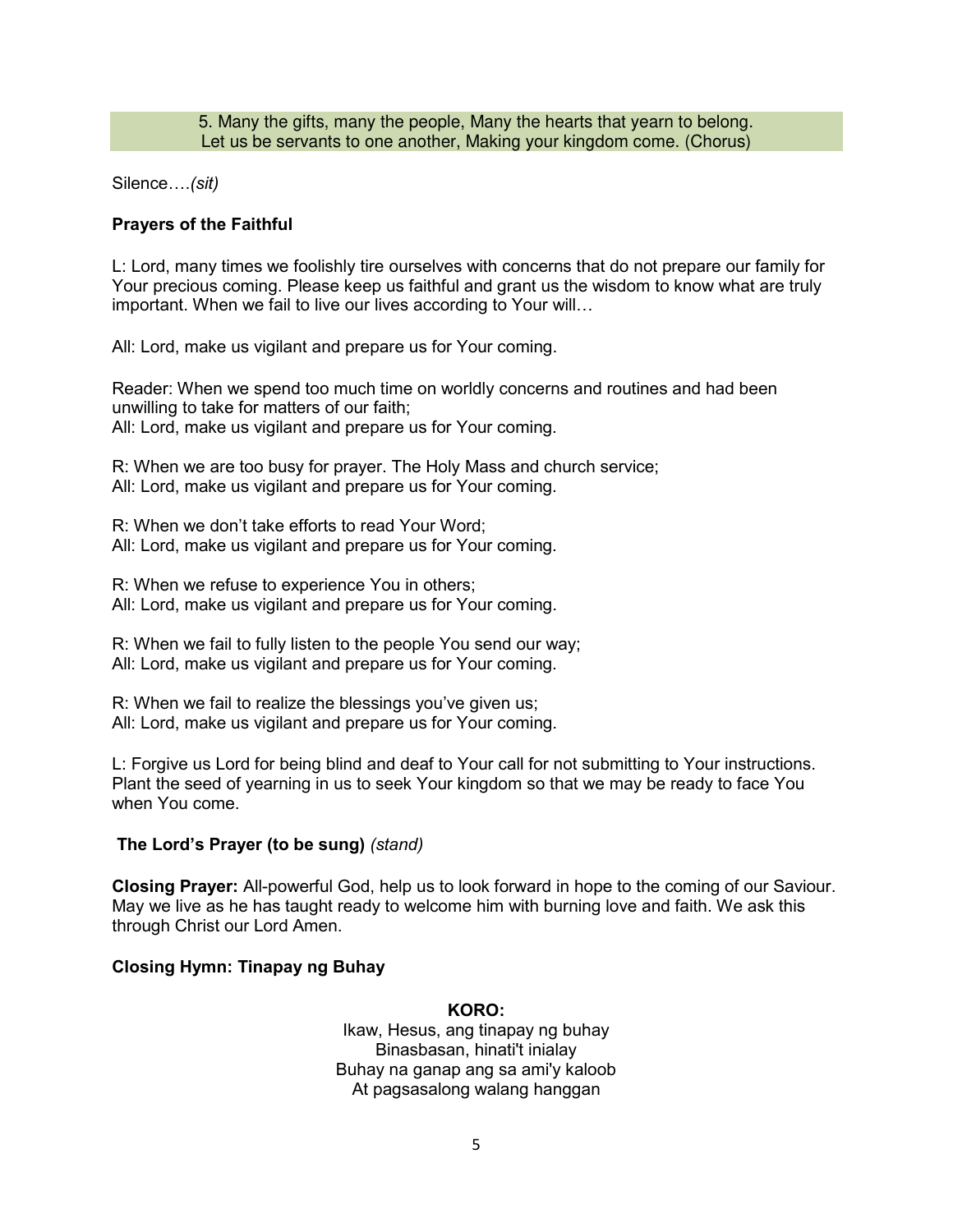5. Many the gifts, many the people, Many the hearts that yearn to belong. Let us be servants to one another, Making your kingdom come. (Chorus)

Silence….*(sit)*

# **Prayers of the Faithful**

L: Lord, many times we foolishly tire ourselves with concerns that do not prepare our family for Your precious coming. Please keep us faithful and grant us the wisdom to know what are truly important. When we fail to live our lives according to Your will…

All: Lord, make us vigilant and prepare us for Your coming.

Reader: When we spend too much time on worldly concerns and routines and had been unwilling to take for matters of our faith; All: Lord, make us vigilant and prepare us for Your coming.

R: When we are too busy for prayer. The Holy Mass and church service; All: Lord, make us vigilant and prepare us for Your coming.

R: When we don't take efforts to read Your Word; All: Lord, make us vigilant and prepare us for Your coming.

R: When we refuse to experience You in others; All: Lord, make us vigilant and prepare us for Your coming.

R: When we fail to fully listen to the people You send our way; All: Lord, make us vigilant and prepare us for Your coming.

R: When we fail to realize the blessings you've given us; All: Lord, make us vigilant and prepare us for Your coming.

L: Forgive us Lord for being blind and deaf to Your call for not submitting to Your instructions. Plant the seed of yearning in us to seek Your kingdom so that we may be ready to face You when You come.

# **The Lord's Prayer (to be sung)** *(stand)*

**Closing Prayer:** All-powerful God, help us to look forward in hope to the coming of our Saviour. May we live as he has taught ready to welcome him with burning love and faith. We ask this through Christ our Lord Amen.

# **Closing Hymn: Tinapay ng Buhay**

# **KORO:**

Ikaw, Hesus, ang tinapay ng buhay Binasbasan, hinati't inialay Buhay na ganap ang sa ami'y kaloob At pagsasalong walang hanggan